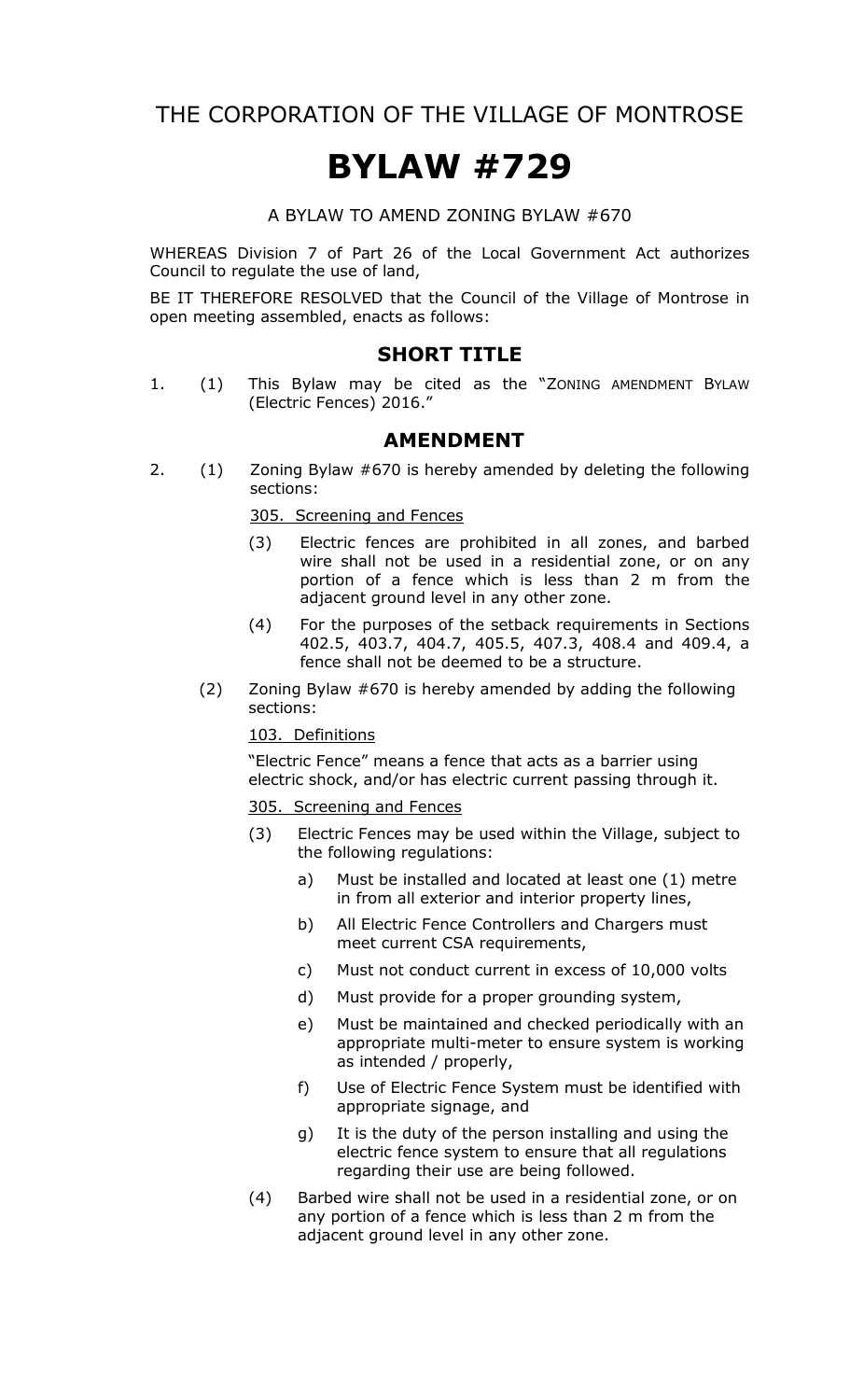THE CORPORATION OF THE VILLAGE OF MONTROSE

# **BYLAW #729**

A BYLAW TO AMEND ZONING BYLAW #670

WHEREAS Division 7 of Part 26 of the Local Government Act authorizes Council to regulate the use of land,

BE IT THEREFORE RESOLVED that the Council of the Village of Montrose in open meeting assembled, enacts as follows:

## **SHORT TITLE**

1. (1) This Bylaw may be cited as the "ZONING AMENDMENT BYLAW (Electric Fences) 2016."

### **AMENDMENT**

2. (1) Zoning Bylaw #670 is hereby amended by deleting the following sections:

305. Screening and Fences

- (3) Electric fences are prohibited in all zones, and barbed wire shall not be used in a residential zone, or on any portion of a fence which is less than 2 m from the adjacent ground level in any other zone.
- (4) For the purposes of the setback requirements in Sections 402.5, 403.7, 404.7, 405.5, 407.3, 408.4 and 409.4, a fence shall not be deemed to be a structure.
- (2) Zoning Bylaw #670 is hereby amended by adding the following sections:

103. Definitions

"Electric Fence" means a fence that acts as a barrier using electric shock, and/or has electric current passing through it.

#### 305. Screening and Fences

- (3) Electric Fences may be used within the Village, subject to the following regulations:
	- a) Must be installed and located at least one (1) metre in from all exterior and interior property lines,
	- b) All Electric Fence Controllers and Chargers must meet current CSA requirements,
	- c) Must not conduct current in excess of 10,000 volts
	- d) Must provide for a proper grounding system,
	- e) Must be maintained and checked periodically with an appropriate multi-meter to ensure system is working as intended / properly,
	- f) Use of Electric Fence System must be identified with appropriate signage, and
	- g) It is the duty of the person installing and using the electric fence system to ensure that all regulations regarding their use are being followed.
- (4) Barbed wire shall not be used in a residential zone, or on any portion of a fence which is less than 2 m from the adjacent ground level in any other zone.